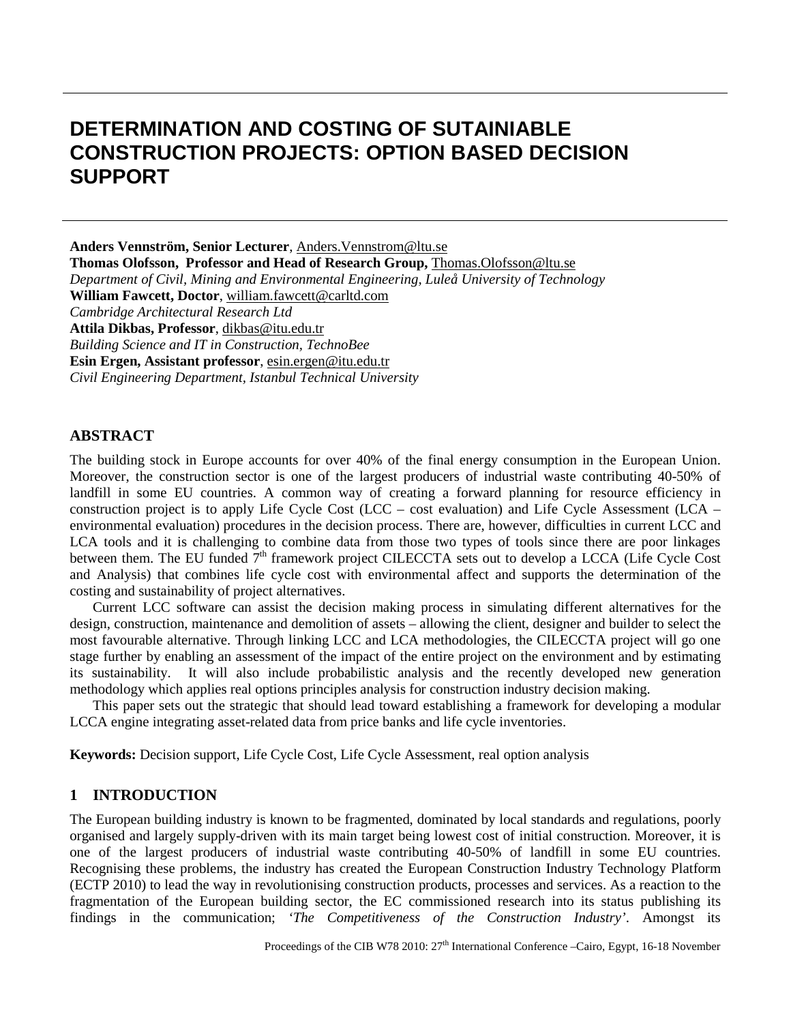# **DETERMINATION AND COSTING OF SUTAINIABLE CONSTRUCTION PROJECTS: OPTION BASED DECISION SUPPORT**

**Anders Vennström, Senior Lecturer**, [Anders.Vennstrom@ltu.se](mailto:Anders.Vennstrom@ltu.se) **Thomas Olofsson, Professor and Head of Research Group,** [Thomas.Olofsson@ltu.se](mailto:Thomas.Olofsson@ltu.se) *Department of Civil, Mining and Environmental Engineering, Luleå University of Technology* **William Fawcett, Doctor**, [william.fawcett@carltd.com](mailto:william.fawcett@carltd.com) *Cambridge Architectural Research Ltd* **Attila Dikbas, Professor**, [dikbas@itu.edu.tr](mailto:dikbas@itu.edu.tr) *Building Science and IT in Construction, TechnoBee* **Esin Ergen, Assistant professor**, [esin.ergen@itu.edu.tr](mailto:esin.ergen@itu.edu.tr) *Civil Engineering Department, Istanbul Technical University*

## **ABSTRACT**

The building stock in Europe accounts for over 40% of the final energy consumption in the European Union. Moreover, the construction sector is one of the largest producers of industrial waste contributing 40-50% of landfill in some EU countries. A common way of creating a forward planning for resource efficiency in construction project is to apply Life Cycle Cost (LCC – cost evaluation) and Life Cycle Assessment (LCA – environmental evaluation) procedures in the decision process. There are, however, difficulties in current LCC and LCA tools and it is challenging to combine data from those two types of tools since there are poor linkages between them. The EU funded 7<sup>th</sup> framework project CILECCTA sets out to develop a LCCA (Life Cycle Cost and Analysis) that combines life cycle cost with environmental affect and supports the determination of the costing and sustainability of project alternatives.

Current LCC software can assist the decision making process in simulating different alternatives for the design, construction, maintenance and demolition of assets – allowing the client, designer and builder to select the most favourable alternative. Through linking LCC and LCA methodologies, the CILECCTA project will go one stage further by enabling an assessment of the impact of the entire project on the environment and by estimating its sustainability. It will also include probabilistic analysis and the recently developed new generation methodology which applies real options principles analysis for construction industry decision making.

This paper sets out the strategic that should lead toward establishing a framework for developing a modular LCCA engine integrating asset-related data from price banks and life cycle inventories.

**Keywords:** Decision support, Life Cycle Cost, Life Cycle Assessment, real option analysis

#### **1 INTRODUCTION**

The European building industry is known to be fragmented, dominated by local standards and regulations, poorly organised and largely supply-driven with its main target being lowest cost of initial construction. Moreover, it is one of the largest producers of industrial waste contributing 40-50% of landfill in some EU countries. Recognising these problems, the industry has created the European Construction Industry Technology Platform (ECTP 2010) to lead the way in revolutionising construction products, processes and services. As a reaction to the fragmentation of the European building sector, the EC commissioned research into its status publishing its findings in the communication; *'The Competitiveness of the Construction Industry'*. Amongst its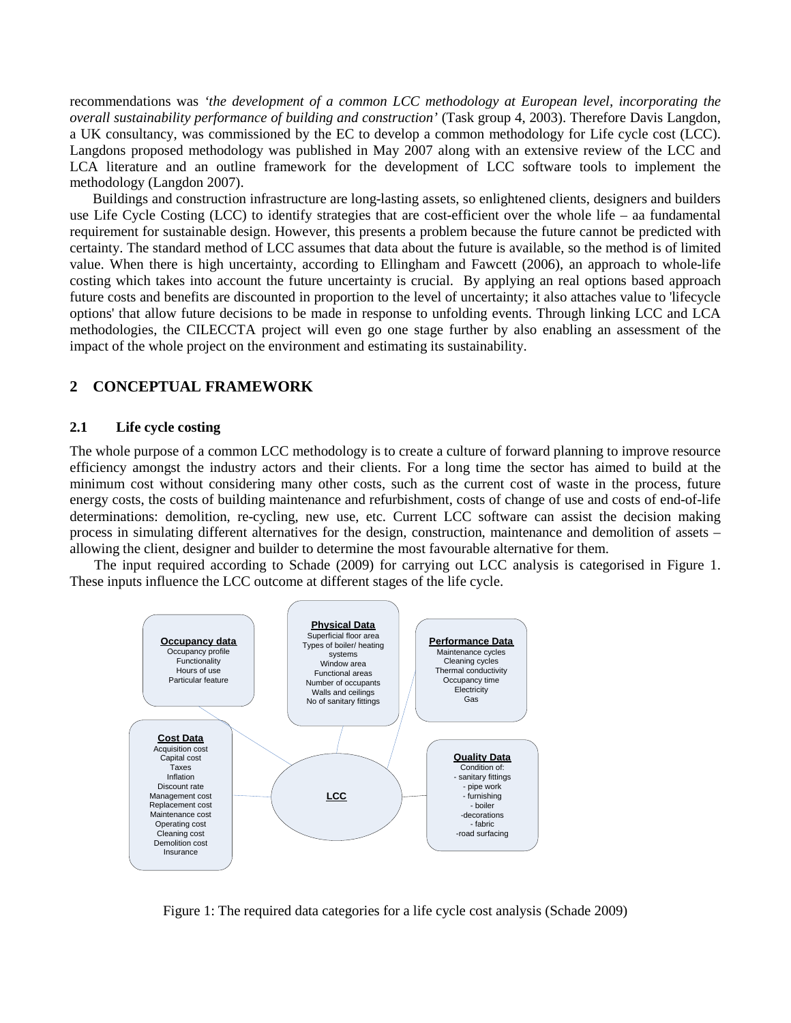recommendations was *'the development of a common LCC methodology at European level, incorporating the overall sustainability performance of building and construction'* (Task group 4, 2003). Therefore Davis Langdon, a UK consultancy, was commissioned by the EC to develop a common methodology for Life cycle cost (LCC). Langdons proposed methodology was published in May 2007 along with an extensive review of the LCC and LCA literature and an outline framework for the development of LCC software tools to implement the methodology (Langdon 2007).

Buildings and construction infrastructure are long-lasting assets, so enlightened clients, designers and builders use Life Cycle Costing (LCC) to identify strategies that are cost-efficient over the whole life – aa fundamental requirement for sustainable design. However, this presents a problem because the future cannot be predicted with certainty. The standard method of LCC assumes that data about the future is available, so the method is of limited value. When there is high uncertainty, according to Ellingham and Fawcett (2006), an approach to whole-life costing which takes into account the future uncertainty is crucial. By applying an real options based approach future costs and benefits are discounted in proportion to the level of uncertainty; it also attaches value to 'lifecycle options' that allow future decisions to be made in response to unfolding events. Through linking LCC and LCA methodologies, the CILECCTA project will even go one stage further by also enabling an assessment of the impact of the whole project on the environment and estimating its sustainability.

# **2 CONCEPTUAL FRAMEWORK**

#### **2.1 Life cycle costing**

The whole purpose of a common LCC methodology is to create a culture of forward planning to improve resource efficiency amongst the industry actors and their clients. For a long time the sector has aimed to build at the minimum cost without considering many other costs, such as the current cost of waste in the process, future energy costs, the costs of building maintenance and refurbishment, costs of change of use and costs of end-of-life determinations: demolition, re-cycling, new use, etc. Current LCC software can assist the decision making process in simulating different alternatives for the design, construction, maintenance and demolition of assets – allowing the client, designer and builder to determine the most favourable alternative for them.

The input required according to Schade (2009) for carrying out LCC analysis is categorised in Figure 1. These inputs influence the LCC outcome at different stages of the life cycle.



Figure 1: The required data categories for a life cycle cost analysis (Schade 2009)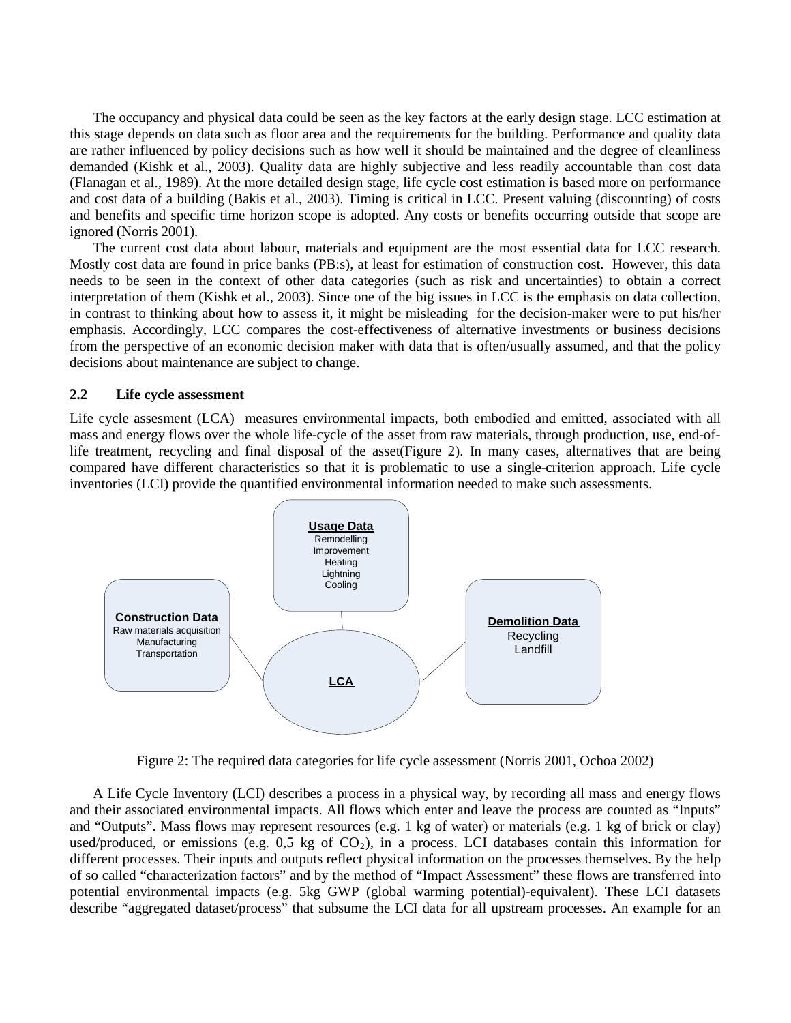The occupancy and physical data could be seen as the key factors at the early design stage. LCC estimation at this stage depends on data such as floor area and the requirements for the building. Performance and quality data are rather influenced by policy decisions such as how well it should be maintained and the degree of cleanliness demanded (Kishk et al., 2003). Quality data are highly subjective and less readily accountable than cost data (Flanagan et al., 1989). At the more detailed design stage, life cycle cost estimation is based more on performance and cost data of a building (Bakis et al., 2003). Timing is critical in LCC. Present valuing (discounting) of costs and benefits and specific time horizon scope is adopted. Any costs or benefits occurring outside that scope are ignored (Norris 2001).

The current cost data about labour, materials and equipment are the most essential data for LCC research. Mostly cost data are found in price banks (PB:s), at least for estimation of construction cost. However, this data needs to be seen in the context of other data categories (such as risk and uncertainties) to obtain a correct interpretation of them (Kishk et al., 2003). Since one of the big issues in LCC is the emphasis on data collection, in contrast to thinking about how to assess it, it might be misleading for the decision-maker were to put his/her emphasis. Accordingly, LCC compares the cost-effectiveness of alternative investments or business decisions from the perspective of an economic decision maker with data that is often/usually assumed, and that the policy decisions about maintenance are subject to change.

#### **2.2 Life cycle assessment**

Life cycle assesment (LCA) measures environmental impacts, both embodied and emitted, associated with all mass and energy flows over the whole life-cycle of the asset from raw materials, through production, use, end-oflife treatment, recycling and final disposal of the asset(Figure 2). In many cases, alternatives that are being compared have different characteristics so that it is problematic to use a single-criterion approach. Life cycle inventories (LCI) provide the quantified environmental information needed to make such assessments.



Figure 2: The required data categories for life cycle assessment (Norris 2001, Ochoa 2002)

A Life Cycle Inventory (LCI) describes a process in a physical way, by recording all mass and energy flows and their associated environmental impacts. All flows which enter and leave the process are counted as "Inputs" and "Outputs". Mass flows may represent resources (e.g. 1 kg of water) or materials (e.g. 1 kg of brick or clay) used/produced, or emissions (e.g.  $0.5$  kg of  $CO<sub>2</sub>$ ), in a process. LCI databases contain this information for different processes. Their inputs and outputs reflect physical information on the processes themselves. By the help of so called "characterization factors" and by the method of "Impact Assessment" these flows are transferred into potential environmental impacts (e.g. 5kg GWP (global warming potential)-equivalent). These LCI datasets describe "aggregated dataset/process" that subsume the LCI data for all upstream processes. An example for an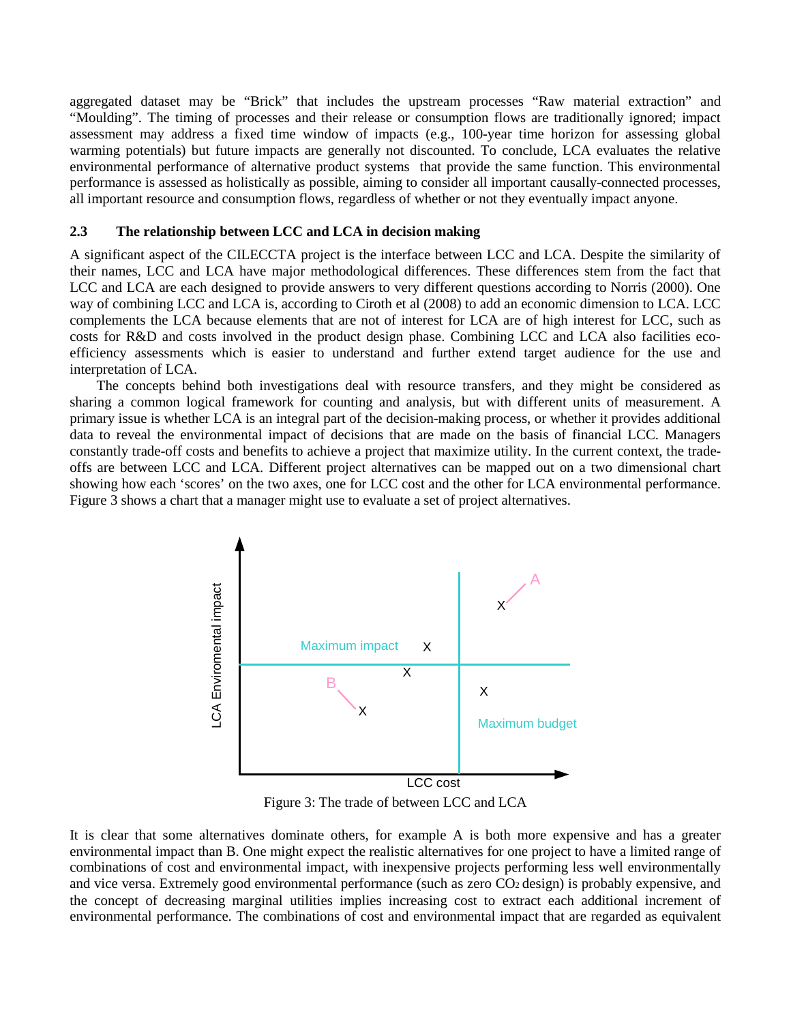aggregated dataset may be "Brick" that includes the upstream processes "Raw material extraction" and "Moulding". The timing of processes and their release or consumption flows are traditionally ignored; impact assessment may address a fixed time window of impacts (e.g., 100-year time horizon for assessing global warming potentials) but future impacts are generally not discounted. To conclude, LCA evaluates the relative environmental performance of alternative product systems that provide the same function. This environmental performance is assessed as holistically as possible, aiming to consider all important causally-connected processes, all important resource and consumption flows, regardless of whether or not they eventually impact anyone.

#### **2.3 The relationship between LCC and LCA in decision making**

A significant aspect of the CILECCTA project is the interface between LCC and LCA. Despite the similarity of their names, LCC and LCA have major methodological differences. These differences stem from the fact that LCC and LCA are each designed to provide answers to very different questions according to Norris (2000). One way of combining LCC and LCA is, according to Ciroth et al (2008) to add an economic dimension to LCA. LCC complements the LCA because elements that are not of interest for LCA are of high interest for LCC, such as costs for R&D and costs involved in the product design phase. Combining LCC and LCA also facilities ecoefficiency assessments which is easier to understand and further extend target audience for the use and interpretation of LCA.

The concepts behind both investigations deal with resource transfers, and they might be considered as sharing a common logical framework for counting and analysis, but with different units of measurement. A primary issue is whether LCA is an integral part of the decision-making process, or whether it provides additional data to reveal the environmental impact of decisions that are made on the basis of financial LCC. Managers constantly trade-off costs and benefits to achieve a project that maximize utility. In the current context, the tradeoffs are between LCC and LCA. Different project alternatives can be mapped out on a two dimensional chart showing how each 'scores' on the two axes, one for LCC cost and the other for LCA environmental performance. Figure 3 shows a chart that a manager might use to evaluate a set of project alternatives.



Figure 3: The trade of between LCC and LCA

It is clear that some alternatives dominate others, for example A is both more expensive and has a greater environmental impact than B. One might expect the realistic alternatives for one project to have a limited range of combinations of cost and environmental impact, with inexpensive projects performing less well environmentally and vice versa. Extremely good environmental performance (such as zero CO<sub>2</sub> design) is probably expensive, and the concept of decreasing marginal utilities implies increasing cost to extract each additional increment of environmental performance. The combinations of cost and environmental impact that are regarded as equivalent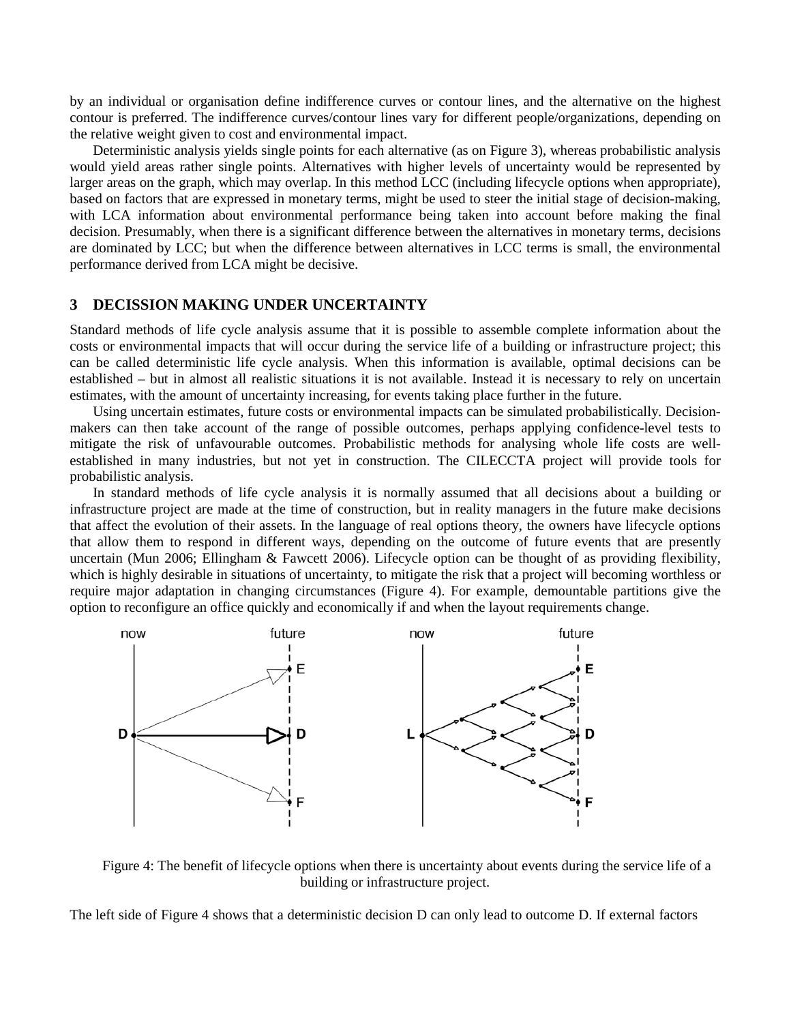by an individual or organisation define indifference curves or contour lines, and the alternative on the highest contour is preferred. The indifference curves/contour lines vary for different people/organizations, depending on the relative weight given to cost and environmental impact.

Deterministic analysis yields single points for each alternative (as on Figure 3), whereas probabilistic analysis would yield areas rather single points. Alternatives with higher levels of uncertainty would be represented by larger areas on the graph, which may overlap. In this method LCC (including lifecycle options when appropriate), based on factors that are expressed in monetary terms, might be used to steer the initial stage of decision-making, with LCA information about environmental performance being taken into account before making the final decision. Presumably, when there is a significant difference between the alternatives in monetary terms, decisions are dominated by LCC; but when the difference between alternatives in LCC terms is small, the environmental performance derived from LCA might be decisive.

### **3 DECISSION MAKING UNDER UNCERTAINTY**

Standard methods of life cycle analysis assume that it is possible to assemble complete information about the costs or environmental impacts that will occur during the service life of a building or infrastructure project; this can be called deterministic life cycle analysis. When this information is available, optimal decisions can be established – but in almost all realistic situations it is not available. Instead it is necessary to rely on uncertain estimates, with the amount of uncertainty increasing, for events taking place further in the future.

Using uncertain estimates, future costs or environmental impacts can be simulated probabilistically. Decisionmakers can then take account of the range of possible outcomes, perhaps applying confidence-level tests to mitigate the risk of unfavourable outcomes. Probabilistic methods for analysing whole life costs are wellestablished in many industries, but not yet in construction. The CILECCTA project will provide tools for probabilistic analysis.

In standard methods of life cycle analysis it is normally assumed that all decisions about a building or infrastructure project are made at the time of construction, but in reality managers in the future make decisions that affect the evolution of their assets. In the language of real options theory, the owners have lifecycle options that allow them to respond in different ways, depending on the outcome of future events that are presently uncertain (Mun 2006; Ellingham & Fawcett 2006). Lifecycle option can be thought of as providing flexibility, which is highly desirable in situations of uncertainty, to mitigate the risk that a project will becoming worthless or require major adaptation in changing circumstances (Figure 4). For example, demountable partitions give the option to reconfigure an office quickly and economically if and when the layout requirements change.



Figure 4: The benefit of lifecycle options when there is uncertainty about events during the service life of a building or infrastructure project.

The left side of Figure 4 shows that a deterministic decision D can only lead to outcome D. If external factors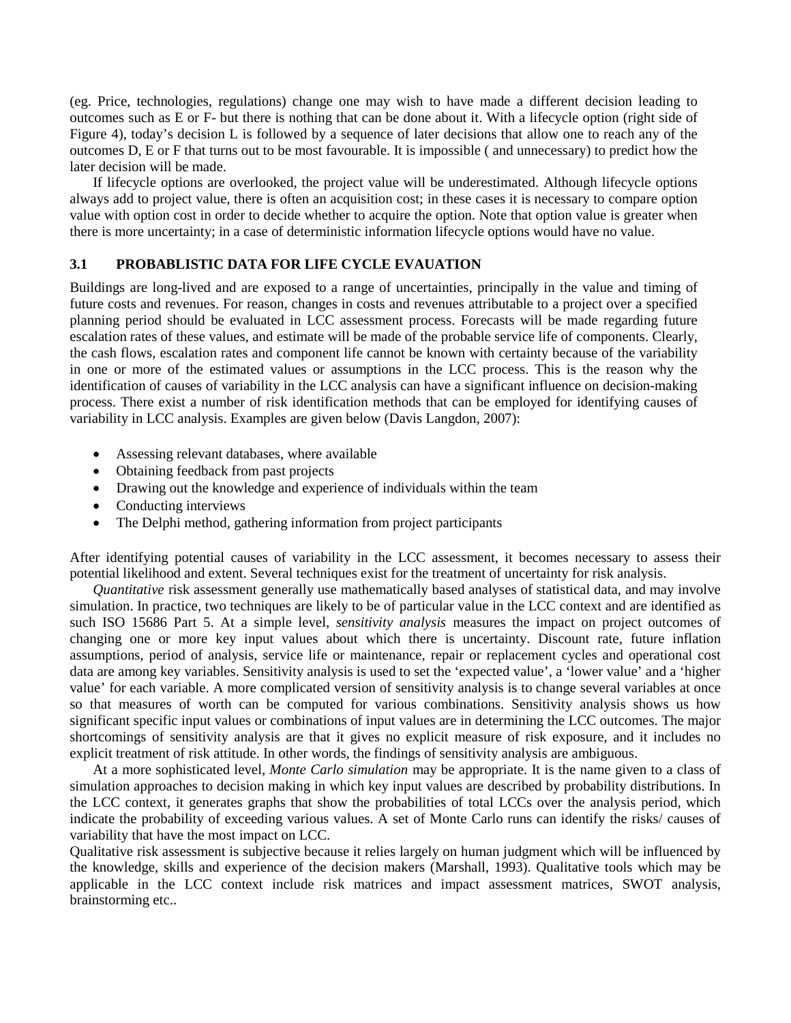(eg. Price, technologies, regulations) change one may wish to have made a different decision leading to outcomes such as E or F- but there is nothing that can be done about it. With a lifecycle option (right side of Figure 4), today's decision L is followed by a sequence of later decisions that allow one to reach any of the outcomes D, E or F that turns out to be most favourable. It is impossible ( and unnecessary) to predict how the later decision will be made.

If lifecycle options are overlooked, the project value will be underestimated. Although lifecycle options always add to project value, there is often an acquisition cost; in these cases it is necessary to compare option value with option cost in order to decide whether to acquire the option. Note that option value is greater when there is more uncertainty; in a case of deterministic information lifecycle options would have no value.

## **3.1 PROBABLISTIC DATA FOR LIFE CYCLE EVAUATION**

Buildings are long-lived and are exposed to a range of uncertainties, principally in the value and timing of future costs and revenues. For reason, changes in costs and revenues attributable to a project over a specified planning period should be evaluated in LCC assessment process. Forecasts will be made regarding future escalation rates of these values, and estimate will be made of the probable service life of components. Clearly, the cash flows, escalation rates and component life cannot be known with certainty because of the variability in one or more of the estimated values or assumptions in the LCC process. This is the reason why the identification of causes of variability in the LCC analysis can have a significant influence on decision-making process. There exist a number of risk identification methods that can be employed for identifying causes of variability in LCC analysis. Examples are given below (Davis Langdon, 2007):

- Assessing relevant databases, where available
- Obtaining feedback from past projects
- Drawing out the knowledge and experience of individuals within the team
- Conducting interviews
- The Delphi method, gathering information from project participants

After identifying potential causes of variability in the LCC assessment, it becomes necessary to assess their potential likelihood and extent. Several techniques exist for the treatment of uncertainty for risk analysis.

*Quantitative* risk assessment generally use mathematically based analyses of statistical data, and may involve simulation. In practice, two techniques are likely to be of particular value in the LCC context and are identified as such ISO 15686 Part 5. At a simple level, *sensitivity analysis* measures the impact on project outcomes of changing one or more key input values about which there is uncertainty. Discount rate, future inflation assumptions, period of analysis, service life or maintenance, repair or replacement cycles and operational cost data are among key variables. Sensitivity analysis is used to set the 'expected value', a 'lower value' and a 'higher value' for each variable. A more complicated version of sensitivity analysis is to change several variables at once so that measures of worth can be computed for various combinations. Sensitivity analysis shows us how significant specific input values or combinations of input values are in determining the LCC outcomes. The major shortcomings of sensitivity analysis are that it gives no explicit measure of risk exposure, and it includes no explicit treatment of risk attitude. In other words, the findings of sensitivity analysis are ambiguous.

At a more sophisticated level, *Monte Carlo simulation* may be appropriate. It is the name given to a class of simulation approaches to decision making in which key input values are described by probability distributions. In the LCC context, it generates graphs that show the probabilities of total LCCs over the analysis period, which indicate the probability of exceeding various values. A set of Monte Carlo runs can identify the risks/ causes of variability that have the most impact on LCC.

Qualitative risk assessment is subjective because it relies largely on human judgment which will be influenced by the knowledge, skills and experience of the decision makers (Marshall, 1993). Qualitative tools which may be applicable in the LCC context include risk matrices and impact assessment matrices, SWOT analysis, brainstorming etc..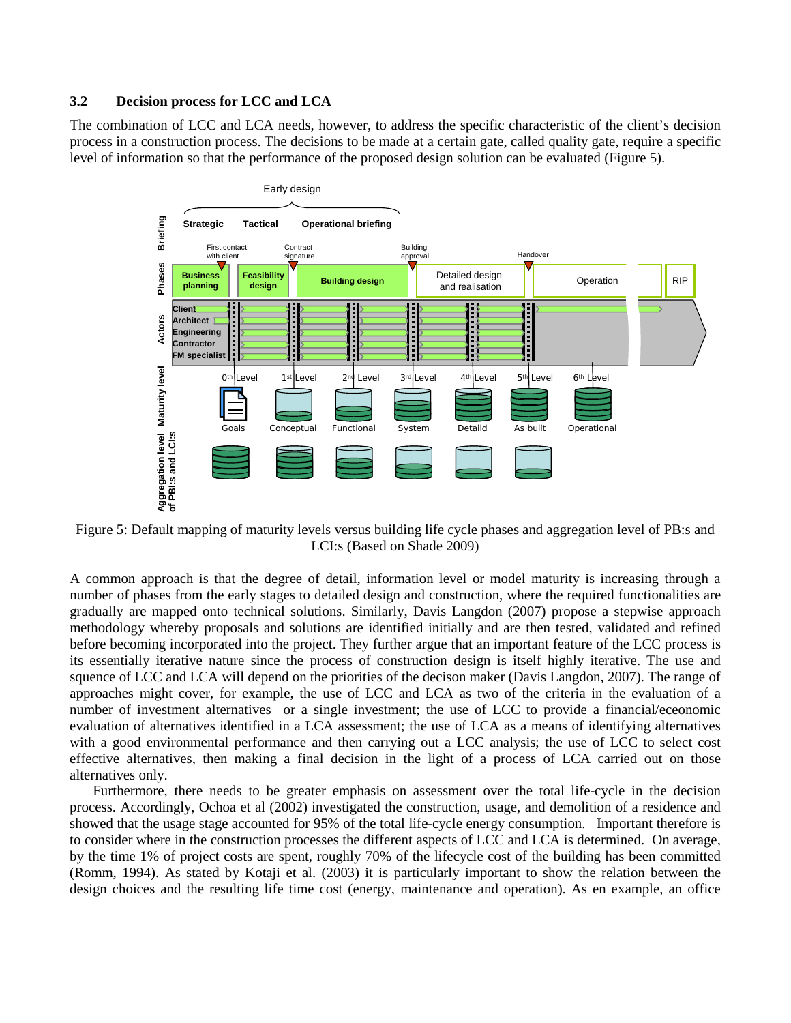### **3.2 Decision process for LCC and LCA**

The combination of LCC and LCA needs, however, to address the specific characteristic of the client's decision process in a construction process. The decisions to be made at a certain gate, called quality gate, require a specific level of information so that the performance of the proposed design solution can be evaluated (Figure 5).



Figure 5: Default mapping of maturity levels versus building life cycle phases and aggregation level of PB:s and LCI:s (Based on Shade 2009)

A common approach is that the degree of detail, information level or model maturity is increasing through a number of phases from the early stages to detailed design and construction, where the required functionalities are gradually are mapped onto technical solutions. Similarly, Davis Langdon (2007) propose a stepwise approach methodology whereby proposals and solutions are identified initially and are then tested, validated and refined before becoming incorporated into the project. They further argue that an important feature of the LCC process is its essentially iterative nature since the process of construction design is itself highly iterative. The use and squence of LCC and LCA will depend on the priorities of the decison maker (Davis Langdon, 2007). The range of approaches might cover, for example, the use of LCC and LCA as two of the criteria in the evaluation of a number of investment alternatives or a single investment; the use of LCC to provide a financial/eceonomic evaluation of alternatives identified in a LCA assessment; the use of LCA as a means of identifying alternatives with a good environmental performance and then carrying out a LCC analysis; the use of LCC to select cost effective alternatives, then making a final decision in the light of a process of LCA carried out on those alternatives only.

Furthermore, there needs to be greater emphasis on assessment over the total life-cycle in the decision process. Accordingly, Ochoa et al (2002) investigated the construction, usage, and demolition of a residence and showed that the usage stage accounted for 95% of the total life-cycle energy consumption. Important therefore is to consider where in the construction processes the different aspects of LCC and LCA is determined. On average, by the time 1% of project costs are spent, roughly 70% of the lifecycle cost of the building has been committed (Romm, 1994). As stated by Kotaji et al. (2003) it is particularly important to show the relation between the design choices and the resulting life time cost (energy, maintenance and operation). As en example, an office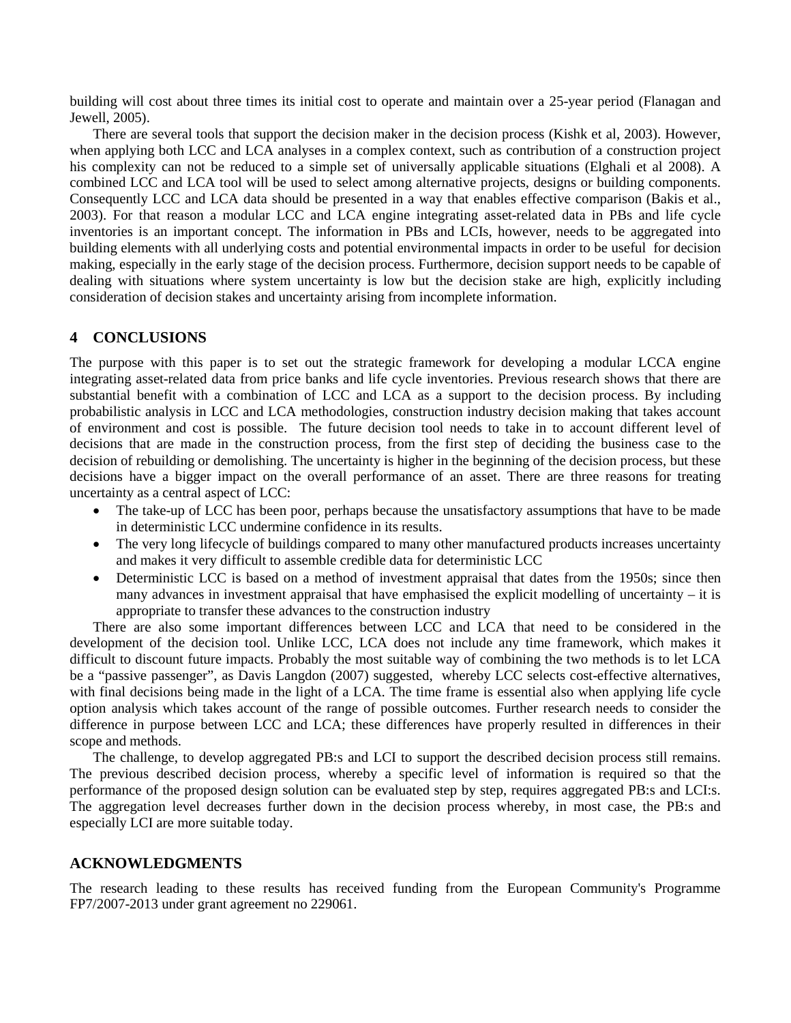building will cost about three times its initial cost to operate and maintain over a 25-year period (Flanagan and Jewell, 2005).

There are several tools that support the decision maker in the decision process (Kishk et al, 2003). However, when applying both LCC and LCA analyses in a complex context, such as contribution of a construction project his complexity can not be reduced to a simple set of universally applicable situations (Elghali et al 2008). A combined LCC and LCA tool will be used to select among alternative projects, designs or building components. Consequently LCC and LCA data should be presented in a way that enables effective comparison (Bakis et al., 2003). For that reason a modular LCC and LCA engine integrating asset-related data in PBs and life cycle inventories is an important concept. The information in PBs and LCIs, however, needs to be aggregated into building elements with all underlying costs and potential environmental impacts in order to be useful for decision making, especially in the early stage of the decision process. Furthermore, decision support needs to be capable of dealing with situations where system uncertainty is low but the decision stake are high, explicitly including consideration of decision stakes and uncertainty arising from incomplete information.

# **4 CONCLUSIONS**

The purpose with this paper is to set out the strategic framework for developing a modular LCCA engine integrating asset-related data from price banks and life cycle inventories. Previous research shows that there are substantial benefit with a combination of LCC and LCA as a support to the decision process. By including probabilistic analysis in LCC and LCA methodologies, construction industry decision making that takes account of environment and cost is possible. The future decision tool needs to take in to account different level of decisions that are made in the construction process, from the first step of deciding the business case to the decision of rebuilding or demolishing. The uncertainty is higher in the beginning of the decision process, but these decisions have a bigger impact on the overall performance of an asset. There are three reasons for treating uncertainty as a central aspect of LCC:

- The take-up of LCC has been poor, perhaps because the unsatisfactory assumptions that have to be made in deterministic LCC undermine confidence in its results.
- The very long lifecycle of buildings compared to many other manufactured products increases uncertainty and makes it very difficult to assemble credible data for deterministic LCC
- Deterministic LCC is based on a method of investment appraisal that dates from the 1950s; since then many advances in investment appraisal that have emphasised the explicit modelling of uncertainty – it is appropriate to transfer these advances to the construction industry

There are also some important differences between LCC and LCA that need to be considered in the development of the decision tool. Unlike LCC, LCA does not include any time framework, which makes it difficult to discount future impacts. Probably the most suitable way of combining the two methods is to let LCA be a "passive passenger", as Davis Langdon (2007) suggested, whereby LCC selects cost-effective alternatives, with final decisions being made in the light of a LCA. The time frame is essential also when applying life cycle option analysis which takes account of the range of possible outcomes. Further research needs to consider the difference in purpose between LCC and LCA; these differences have properly resulted in differences in their scope and methods.

The challenge, to develop aggregated PB:s and LCI to support the described decision process still remains. The previous described decision process, whereby a specific level of information is required so that the performance of the proposed design solution can be evaluated step by step, requires aggregated PB:s and LCI:s. The aggregation level decreases further down in the decision process whereby, in most case, the PB:s and especially LCI are more suitable today.

## **ACKNOWLEDGMENTS**

The research leading to these results has received funding from the European Community's Programme FP7/2007-2013 under grant agreement no 229061.